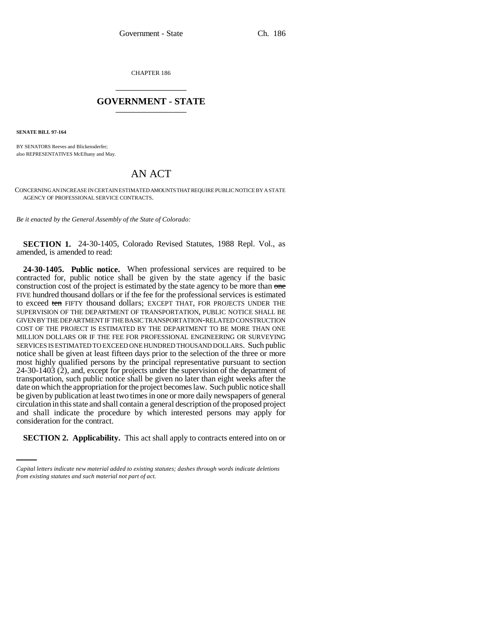CHAPTER 186 \_\_\_\_\_\_\_\_\_\_\_\_\_\_\_

## **GOVERNMENT - STATE** \_\_\_\_\_\_\_\_\_\_\_\_\_\_\_

**SENATE BILL 97-164**

BY SENATORS Reeves and Blickensderfer; also REPRESENTATIVES McElhany and May.

## AN ACT

CONCERNING AN INCREASE IN CERTAIN ESTIMATED AMOUNTS THAT REQUIRE PUBLIC NOTICE BY A STATE AGENCY OF PROFESSIONAL SERVICE CONTRACTS.

*Be it enacted by the General Assembly of the State of Colorado:*

**SECTION 1.** 24-30-1405, Colorado Revised Statutes, 1988 Repl. Vol., as amended, is amended to read:

consideration for the contract. **24-30-1405. Public notice.** When professional services are required to be contracted for, public notice shall be given by the state agency if the basic construction cost of the project is estimated by the state agency to be more than one FIVE hundred thousand dollars or if the fee for the professional services is estimated to exceed ten FIFTY thousand dollars; EXCEPT THAT, FOR PROJECTS UNDER THE SUPERVISION OF THE DEPARTMENT OF TRANSPORTATION, PUBLIC NOTICE SHALL BE GIVEN BY THE DEPARTMENT IF THE BASIC TRANSPORTATION-RELATED CONSTRUCTION COST OF THE PROJECT IS ESTIMATED BY THE DEPARTMENT TO BE MORE THAN ONE MILLION DOLLARS OR IF THE FEE FOR PROFESSIONAL ENGINEERING OR SURVEYING SERVICES IS ESTIMATED TO EXCEED ONE HUNDRED THOUSAND DOLLARS. Such public notice shall be given at least fifteen days prior to the selection of the three or more most highly qualified persons by the principal representative pursuant to section 24-30-1403 (2), and, except for projects under the supervision of the department of transportation, such public notice shall be given no later than eight weeks after the date on which the appropriation for the project becomes law. Such public notice shall be given by publication at least two times in one or more daily newspapers of general circulation in this state and shall contain a general description of the proposed project and shall indicate the procedure by which interested persons may apply for

**SECTION 2. Applicability.** This act shall apply to contracts entered into on or

*Capital letters indicate new material added to existing statutes; dashes through words indicate deletions from existing statutes and such material not part of act.*